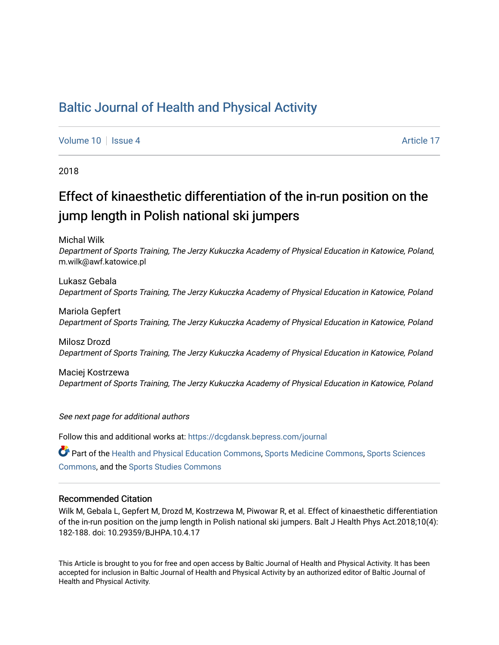# [Baltic Journal of Health and Physical Activity](https://dcgdansk.bepress.com/journal)

[Volume 10](https://dcgdansk.bepress.com/journal/vol10) | [Issue 4](https://dcgdansk.bepress.com/journal/vol10/iss4) Article 17

2018

# Effect of kinaesthetic differentiation of the in-run position on the jump length in Polish national ski jumpers

Michal Wilk

Department of Sports Training, The Jerzy Kukuczka Academy of Physical Education in Katowice, Poland, m.wilk@awf.katowice.pl

Lukasz Gebala Department of Sports Training, The Jerzy Kukuczka Academy of Physical Education in Katowice, Poland

Mariola Gepfert Department of Sports Training, The Jerzy Kukuczka Academy of Physical Education in Katowice, Poland

Milosz Drozd Department of Sports Training, The Jerzy Kukuczka Academy of Physical Education in Katowice, Poland

Maciej Kostrzewa Department of Sports Training, The Jerzy Kukuczka Academy of Physical Education in Katowice, Poland

See next page for additional authors

Follow this and additional works at: [https://dcgdansk.bepress.com/journal](https://dcgdansk.bepress.com/journal?utm_source=dcgdansk.bepress.com%2Fjournal%2Fvol10%2Fiss4%2F17&utm_medium=PDF&utm_campaign=PDFCoverPages)

Part of the [Health and Physical Education Commons](http://network.bepress.com/hgg/discipline/1327?utm_source=dcgdansk.bepress.com%2Fjournal%2Fvol10%2Fiss4%2F17&utm_medium=PDF&utm_campaign=PDFCoverPages), [Sports Medicine Commons,](http://network.bepress.com/hgg/discipline/1331?utm_source=dcgdansk.bepress.com%2Fjournal%2Fvol10%2Fiss4%2F17&utm_medium=PDF&utm_campaign=PDFCoverPages) [Sports Sciences](http://network.bepress.com/hgg/discipline/759?utm_source=dcgdansk.bepress.com%2Fjournal%2Fvol10%2Fiss4%2F17&utm_medium=PDF&utm_campaign=PDFCoverPages) [Commons](http://network.bepress.com/hgg/discipline/759?utm_source=dcgdansk.bepress.com%2Fjournal%2Fvol10%2Fiss4%2F17&utm_medium=PDF&utm_campaign=PDFCoverPages), and the [Sports Studies Commons](http://network.bepress.com/hgg/discipline/1198?utm_source=dcgdansk.bepress.com%2Fjournal%2Fvol10%2Fiss4%2F17&utm_medium=PDF&utm_campaign=PDFCoverPages) 

#### Recommended Citation

Wilk M, Gebala L, Gepfert M, Drozd M, Kostrzewa M, Piwowar R, et al. Effect of kinaesthetic differentiation of the in-run position on the jump length in Polish national ski jumpers. Balt J Health Phys Act.2018;10(4): 182-188. doi: 10.29359/BJHPA.10.4.17

This Article is brought to you for free and open access by Baltic Journal of Health and Physical Activity. It has been accepted for inclusion in Baltic Journal of Health and Physical Activity by an authorized editor of Baltic Journal of Health and Physical Activity.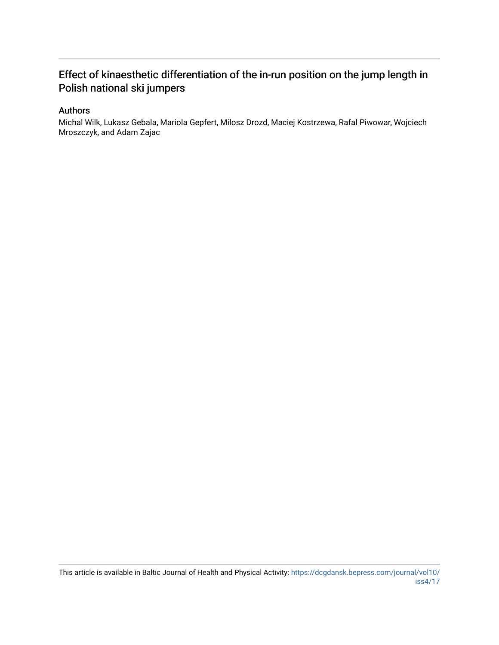## Effect of kinaesthetic differentiation of the in-run position on the jump length in Polish national ski jumpers

### Authors

Michal Wilk, Lukasz Gebala, Mariola Gepfert, Milosz Drozd, Maciej Kostrzewa, Rafal Piwowar, Wojciech Mroszczyk, and Adam Zajac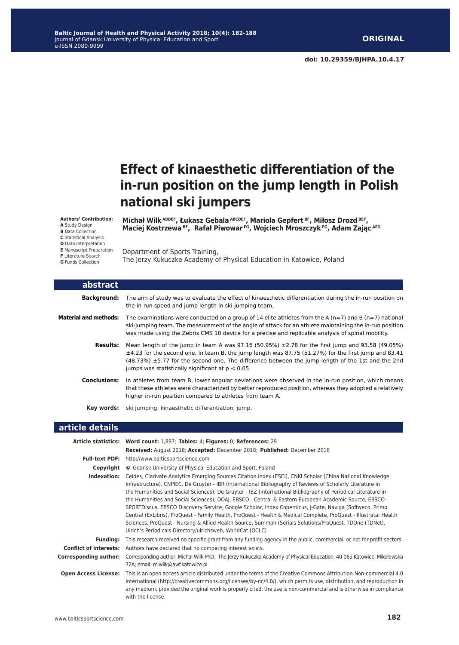# **Effect of kinaesthetic differentiation of the in-run position on the jump length in Polish national ski jumpers**

**Authors' Contribution: A** Study Design

- **B** Data Collection
- **C** Statistical Analysis

**F** Literature Search **G** Funds Collection

L

**D** Data Interpretation

Department of Sports Training, **E** Manuscript Preparation

The Jerzy Kukuczka Academy of Physical Education in Katowice, Poland

**Michał Wilk ABDEF, Łukasz Gębala ABCDEF, Mariola Gepfert BF, Miłosz Drozd BEF,** Maciej Kostrzewa BF, Rafał Piwowar FG, Wojciech Mroszczyk FG, Adam Zając AEG

| abstract                     |                                                                                                                                                                                                                                                                                                                                                                                      |
|------------------------------|--------------------------------------------------------------------------------------------------------------------------------------------------------------------------------------------------------------------------------------------------------------------------------------------------------------------------------------------------------------------------------------|
| Background:                  | The aim of study was to evaluate the effect of kinaesthetic differentiation during the in-run position on<br>the in-run speed and jump length in ski-jumping team.                                                                                                                                                                                                                   |
| <b>Material and methods:</b> | The examinations were conducted on a group of 14 elite athletes from the A ( $n=7$ ) and B ( $n=7$ ) national<br>ski-jumping team. The measurement of the angle of attack for an athlete maintaining the in-run position<br>was made using the Zebris CMS 10 device for a precise and replicable analysis of spinal mobility.                                                        |
| <b>Results:</b>              | Mean length of the jump in team A was $97.16$ (50.95%) $\pm$ 2.78 for the first jump and 93.58 (49.05%)<br>$\pm$ 4.23 for the second one. In team B, the jump length was 87.75 (51.27%) for the first jump and 83.41<br>$(48.73%) \pm 5.77$ for the second one. The difference between the jump length of the 1st and the 2nd<br>jumps was statistically significant at $p < 0.05$ . |
| <b>Conclusions:</b>          | In athletes from team B, lower angular deviations were observed in the in-run position, which means<br>that these athletes were characterized by better reproduced position, whereas they adopted a relatively<br>higher in-run position compared to athletes from team A.                                                                                                           |
|                              | <b>Key words:</b> ski jumping, kinaesthetic differentiation, jump.                                                                                                                                                                                                                                                                                                                   |

#### **article details**

|                               | Article statistics: Word count: 1,897; Tables: 4; Figures: 0; References: 29                                                                                                                                                                                                                                                                                                                                                                                                                                                                                                                                                                                                                                                                                                                                                                                  |  |  |  |
|-------------------------------|---------------------------------------------------------------------------------------------------------------------------------------------------------------------------------------------------------------------------------------------------------------------------------------------------------------------------------------------------------------------------------------------------------------------------------------------------------------------------------------------------------------------------------------------------------------------------------------------------------------------------------------------------------------------------------------------------------------------------------------------------------------------------------------------------------------------------------------------------------------|--|--|--|
|                               | Received: August 2018; Accepted: December 2018; Published: December 2018                                                                                                                                                                                                                                                                                                                                                                                                                                                                                                                                                                                                                                                                                                                                                                                      |  |  |  |
| <b>Full-text PDF:</b>         | http://www.balticsportscience.com                                                                                                                                                                                                                                                                                                                                                                                                                                                                                                                                                                                                                                                                                                                                                                                                                             |  |  |  |
| Copyright                     | © Gdansk University of Physical Education and Sport, Poland                                                                                                                                                                                                                                                                                                                                                                                                                                                                                                                                                                                                                                                                                                                                                                                                   |  |  |  |
| Indexation:                   | Celdes, Clarivate Analytics Emerging Sources Citation Index (ESCI), CNKI Scholar (China National Knowledge<br>Infrastructure), CNPIEC, De Gruyter - IBR (International Bibliography of Reviews of Scholarly Literature in<br>the Humanities and Social Sciences), De Gruyter - IBZ (International Bibliography of Periodical Literature in<br>the Humanities and Social Sciences), DOAJ, EBSCO - Central & Eastern European Academic Source, EBSCO -<br>SPORTDiscus, EBSCO Discovery Service, Google Scholar, Index Copernicus, J-Gate, Naviga (Softweco, Primo<br>Central (ExLibris), ProQuest - Family Health, ProQuest - Health & Medical Complete, ProQuest - Illustrata: Health<br>Sciences, ProQuest - Nursing & Allied Health Source, Summon (Serials Solutions/ProQuest, TDOne (TDNet),<br>Ulrich's Periodicals Directory/ulrichsweb, WorldCat (OCLC) |  |  |  |
| <b>Funding:</b>               | This research received no specific grant from any funding agency in the public, commercial, or not-for-profit sectors.                                                                                                                                                                                                                                                                                                                                                                                                                                                                                                                                                                                                                                                                                                                                        |  |  |  |
| <b>Conflict of interests:</b> | Authors have declared that no competing interest exists.                                                                                                                                                                                                                                                                                                                                                                                                                                                                                                                                                                                                                                                                                                                                                                                                      |  |  |  |
| Corresponding author:         | Corresponding author: Michał Wilk PhD., The Jerzy Kukuczka Academy of Physical Education, 40-065 Katowice, Mikołowska<br>72A; email: m.wilk@awf.katowice.pl                                                                                                                                                                                                                                                                                                                                                                                                                                                                                                                                                                                                                                                                                                   |  |  |  |
| <b>Open Access License:</b>   | This is an open access article distributed under the terms of the Creative Commons Attribution-Non-commercial 4.0<br>International (http://creativecommons.org/licenses/by-nc/4.0/), which permits use, distribution, and reproduction in<br>any medium, provided the original work is properly cited, the use is non-commercial and is otherwise in compliance<br>with the license.                                                                                                                                                                                                                                                                                                                                                                                                                                                                          |  |  |  |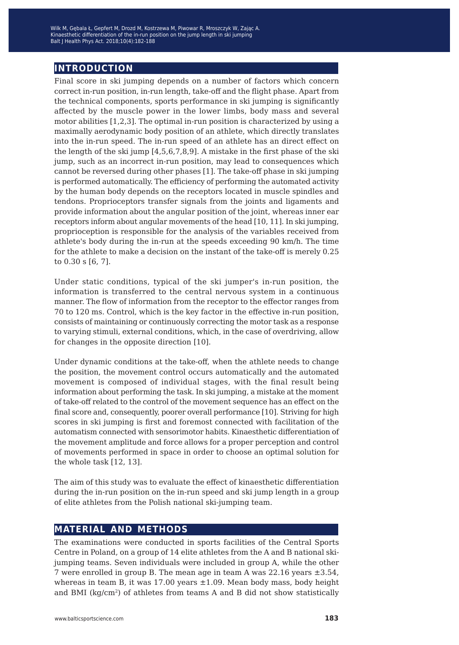Kinaesthetic differentiation of the in-run position on the jump length in ski jumping blood K+ concentration balance after production balance gamp tength in the<br>alt LHealth Phys Act, 2018:10(4):182-188 Balt J Health Phys Act. 2018;10(4):182-188 Wilk M, Gębala Ł, Gepfert M, Drozd M, Kostrzewa M, Piwowar R, Mroszczyk W, Zając A.

## **introduction**

Final score in ski jumping depends on a number of factors which concern correct in-run position, in-run length, take-off and the flight phase. Apart from the technical components, sports performance in ski jumping is significantly affected by the muscle power in the lower limbs, body mass and several motor abilities [1,2,3]. The optimal in-run position is characterized by using a maximally aerodynamic body position of an athlete, which directly translates into the in-run speed. The in-run speed of an athlete has an direct effect on the length of the ski jump [4,5,6,7,8,9]. A mistake in the first phase of the ski jump, such as an incorrect in-run position, may lead to consequences which cannot be reversed during other phases [1]. The take-off phase in ski jumping is performed automatically. The efficiency of performing the automated activity by the human body depends on the receptors located in muscle spindles and tendons. Proprioceptors transfer signals from the joints and ligaments and provide information about the angular position of the joint, whereas inner ear receptors inform about angular movements of the head [10, 11]. In ski jumping, proprioception is responsible for the analysis of the variables received from athlete's body during the in-run at the speeds exceeding 90 km/h. The time for the athlete to make a decision on the instant of the take-off is merely 0.25 to 0.30 s [6, 7].

Under static conditions, typical of the ski jumper's in-run position, the information is transferred to the central nervous system in a continuous manner. The flow of information from the receptor to the effector ranges from 70 to 120 ms. Control, which is the key factor in the effective in-run position, consists of maintaining or continuously correcting the motor task as a response to varying stimuli, external conditions, which, in the case of overdriving, allow for changes in the opposite direction [10].

Under dynamic conditions at the take-off, when the athlete needs to change the position, the movement control occurs automatically and the automated movement is composed of individual stages, with the final result being information about performing the task. In ski jumping, a mistake at the moment of take-off related to the control of the movement sequence has an effect on the final score and, consequently, poorer overall performance [10]. Striving for high scores in ski jumping is first and foremost connected with facilitation of the automatism connected with sensorimotor habits. Kinaesthetic differentiation of the movement amplitude and force allows for a proper perception and control of movements performed in space in order to choose an optimal solution for the whole task [12, 13].

The aim of this study was to evaluate the effect of kinaesthetic differentiation during the in-run position on the in-run speed and ski jump length in a group of elite athletes from the Polish national ski-jumping team.

### **material and methods**

The examinations were conducted in sports facilities of the Central Sports Centre in Poland, on a group of 14 elite athletes from the A and B national skijumping teams. Seven individuals were included in group A, while the other 7 were enrolled in group B. The mean age in team A was 22.16 years ±3.54, whereas in team B, it was 17.00 years ±1.09. Mean body mass, body height and BMI ( $kg/cm<sup>2</sup>$ ) of athletes from teams A and B did not show statistically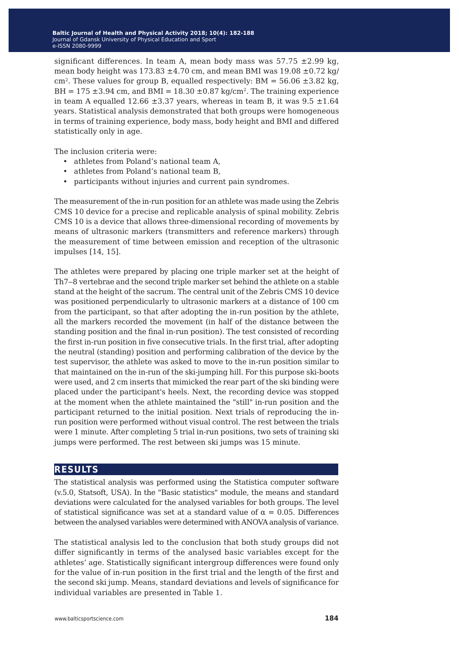significant differences. In team A, mean body mass was  $57.75 \pm 2.99$  kg, mean body height was  $173.83 \pm 4.70$  cm, and mean BMI was  $19.08 \pm 0.72$  kg/ cm<sup>2</sup>. These values for group B, equalled respectively:  $BM = 56.06 \pm 3.82$  kg, BH =  $175 \pm 3.94$  cm, and BMI =  $18.30 \pm 0.87$  kg/cm<sup>2</sup>. The training experience in team A equalled 12.66  $\pm$ 3.37 years, whereas in team B, it was 9.5  $\pm$ 1.64 years. Statistical analysis demonstrated that both groups were homogeneous in terms of training experience, body mass, body height and BMI and differed statistically only in age.

The inclusion criteria were:

- athletes from Poland's national team A,
- athletes from Poland's national team B,
- participants without injuries and current pain syndromes.

The measurement of the in-run position for an athlete was made using the Zebris CMS 10 device for a precise and replicable analysis of spinal mobility. Zebris CMS 10 is a device that allows three-dimensional recording of movements by means of ultrasonic markers (transmitters and reference markers) through the measurement of time between emission and reception of the ultrasonic impulses [14, 15].

The athletes were prepared by placing one triple marker set at the height of Th7-8 vertebrae and the second triple marker set behind the athlete on a stable stand at the height of the sacrum. The central unit of the Zebris CMS 10 device was positioned perpendicularly to ultrasonic markers at a distance of 100 cm from the participant, so that after adopting the in-run position by the athlete, all the markers recorded the movement (in half of the distance between the standing position and the final in-run position). The test consisted of recording the first in-run position in five consecutive trials. In the first trial, after adopting the neutral (standing) position and performing calibration of the device by the test supervisor, the athlete was asked to move to the in-run position similar to that maintained on the in-run of the ski-jumping hill. For this purpose ski-boots were used, and 2 cm inserts that mimicked the rear part of the ski binding were placed under the participant's heels. Next, the recording device was stopped at the moment when the athlete maintained the "still" in-run position and the participant returned to the initial position. Next trials of reproducing the inrun position were performed without visual control. The rest between the trials were 1 minute. After completing 5 trial in-run positions, two sets of training ski jumps were performed. The rest between ski jumps was 15 minute.

## **results**

The statistical analysis was performed using the Statistica computer software (v.5.0, Statsoft, USA). In the "Basic statistics" module, the means and standard deviations were calculated for the analysed variables for both groups. The level of statistical significance was set at a standard value of  $\alpha = 0.05$ . Differences between the analysed variables were determined with ANOVA analysis of variance.

The statistical analysis led to the conclusion that both study groups did not differ significantly in terms of the analysed basic variables except for the athletes' age. Statistically significant intergroup differences were found only for the value of in-run position in the first trial and the length of the first and the second ski jump. Means, standard deviations and levels of significance for individual variables are presented in Table 1.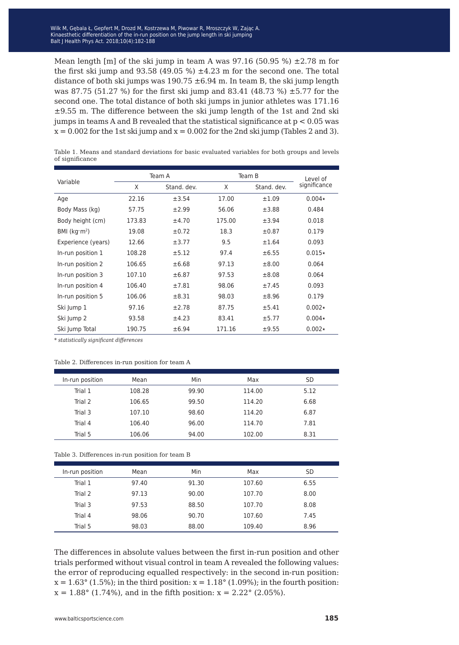Mean length [m] of the ski jump in team A was  $97.16$  (50.95 %)  $\pm 2.78$  m for the first ski jump and 93.58 (49.05 %) ±4.23 m for the second one. The total distance of both ski jumps was  $190.75 \pm 6.94$  m. In team B, the ski jump length was 87.75 (51.27 %) for the first ski jump and 83.41 (48.73 %) ±5.77 for the second one. The total distance of both ski jumps in junior athletes was 171.16  $\pm$ 9.55 m. The difference between the ski jump length of the 1st and 2nd ski jumps in teams A and B revealed that the statistical significance at p < 0.05 was  $x = 0.002$  for the 1st ski jump and  $x = 0.002$  for the 2nd ski jump (Tables 2 and 3).

Table 1. Means and standard deviations for basic evaluated variables for both groups and levels of significance

| Variable                 | Team A |             | Team B |             | Level of     |
|--------------------------|--------|-------------|--------|-------------|--------------|
|                          | X      | Stand, dev. | X      | Stand, dev. | significance |
| Age                      | 22.16  | ±3.54       | 17.00  | ±1.09       | $0.004*$     |
| Body Mass (kg)           | 57.75  | ±2.99       | 56.06  | ±3.88       | 0.484        |
| Body height (cm)         | 173.83 | ±4.70       | 175.00 | ±3.94       | 0.018        |
| BMI (kg·m <sup>2</sup> ) | 19.08  | $\pm$ 0.72  | 18.3   | $\pm 0.87$  | 0.179        |
| Experience (years)       | 12.66  | ±3.77       | 9.5    | ±1.64       | 0.093        |
| In-run position 1        | 108.28 | ±5.12       | 97.4   | ±6.55       | $0.015*$     |
| In-run position 2        | 106.65 | ±6.68       | 97.13  | $\pm 8.00$  | 0.064        |
| In-run position 3        | 107.10 | ±6.87       | 97.53  | $\pm 8.08$  | 0.064        |
| In-run position 4        | 106.40 | ±7.81       | 98.06  | ±7.45       | 0.093        |
| In-run position 5        | 106.06 | ±8.31       | 98.03  | $\pm 8.96$  | 0.179        |
| Ski Jump 1               | 97.16  | ±2.78       | 87.75  | ±5.41       | $0.002*$     |
| Ski Jump 2               | 93.58  | ±4.23       | 83.41  | ±5.77       | $0.004*$     |
| Ski Jump Total           | 190.75 | ±6.94       | 171.16 | ±9.55       | $0.002*$     |

*\* statistically significant differences*

#### Table 2. Differences in-run position for team A

| In-run position | Mean   | Min   | Max    | SD   |
|-----------------|--------|-------|--------|------|
| Trial 1         | 108.28 | 99.90 | 114.00 | 5.12 |
| Trial 2         | 106.65 | 99.50 | 114.20 | 6.68 |
| Trial 3         | 107.10 | 98.60 | 114.20 | 6.87 |
| Trial 4         | 106.40 | 96.00 | 114.70 | 7.81 |
| Trial 5         | 106.06 | 94.00 | 102.00 | 8.31 |

#### Table 3. Differences in-run position for team B

| In-run position | Mean  | Min   | Max    | <b>SD</b> |
|-----------------|-------|-------|--------|-----------|
| Trial 1         | 97.40 | 91.30 | 107.60 | 6.55      |
| Trial 2         | 97.13 | 90.00 | 107.70 | 8.00      |
| Trial 3         | 97.53 | 88.50 | 107.70 | 8.08      |
| Trial 4         | 98.06 | 90.70 | 107.60 | 7.45      |
| Trial 5         | 98.03 | 88.00 | 109.40 | 8.96      |

The differences in absolute values between the first in-run position and other trials performed without visual control in team A revealed the following values: the error of reproducing equalled respectively: in the second in-run position:  $x = 1.63^{\circ}$  (1.5%); in the third position:  $x = 1.18^{\circ}$  (1.09%); in the fourth position:  $x = 1.88$ ° (1.74%), and in the fifth position:  $x = 2.22$ ° (2.05%).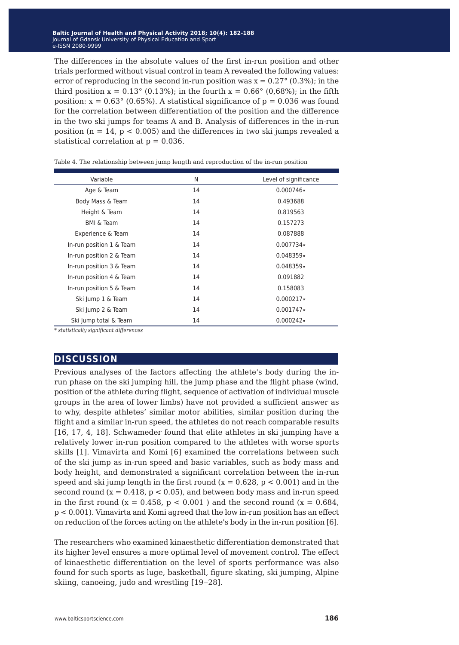The differences in the absolute values of the first in-run position and other trials performed without visual control in team A revealed the following values: error of reproducing in the second in-run position was  $x = 0.27^{\circ}$  (0.3%); in the third position  $x = 0.13^{\circ}$  (0.13%); in the fourth  $x = 0.66^{\circ}$  (0,68%); in the fifth position:  $x = 0.63^{\circ}$  (0.65%). A statistical significance of  $p = 0.036$  was found for the correlation between differentiation of the position and the difference in the two ski jumps for teams A and B. Analysis of differences in the in-run position ( $n = 14$ ,  $p < 0.005$ ) and the differences in two ski jumps revealed a statistical correlation at  $p = 0.036$ .

| N  | Level of significance |
|----|-----------------------|
| 14 | $0.000746*$           |
| 14 | 0.493688              |
| 14 | 0.819563              |
| 14 | 0.157273              |
| 14 | 0.087888              |
| 14 | $0.007734*$           |
| 14 | $0.048359*$           |
| 14 | $0.048359*$           |
| 14 | 0.091882              |
| 14 | 0.158083              |
| 14 | $0.000217*$           |
| 14 | $0.001747*$           |
| 14 | $0.000242*$           |
|    |                       |

Table 4. The relationship between jump length and reproduction of the in-run position

*\* statistically significant differences*

### **discussion**

Previous analyses of the factors affecting the athlete's body during the inrun phase on the ski jumping hill, the jump phase and the flight phase (wind, position of the athlete during flight, sequence of activation of individual muscle groups in the area of lower limbs) have not provided a sufficient answer as to why, despite athletes' similar motor abilities, similar position during the flight and a similar in-run speed, the athletes do not reach comparable results [16, 17, 4, 18]. Schwameder found that elite athletes in ski jumping have a relatively lower in-run position compared to the athletes with worse sports skills [1]. Vimavirta and Komi [6] examined the correlations between such of the ski jump as in-run speed and basic variables, such as body mass and body height, and demonstrated a significant correlation between the in-run speed and ski jump length in the first round ( $x = 0.628$ ,  $p < 0.001$ ) and in the second round ( $x = 0.418$ ,  $p < 0.05$ ), and between body mass and in-run speed in the first round ( $x = 0.458$ ,  $p < 0.001$ ) and the second round ( $x = 0.684$ ) p < 0.001). Vimavirta and Komi agreed that the low in-run position has an effect on reduction of the forces acting on the athlete's body in the in-run position [6].

The researchers who examined kinaesthetic differentiation demonstrated that its higher level ensures a more optimal level of movement control. The effect of kinaesthetic differentiation on the level of sports performance was also found for such sports as luge, basketball, figure skating, ski jumping, Alpine skiing, canoeing, judo and wrestling [19–28].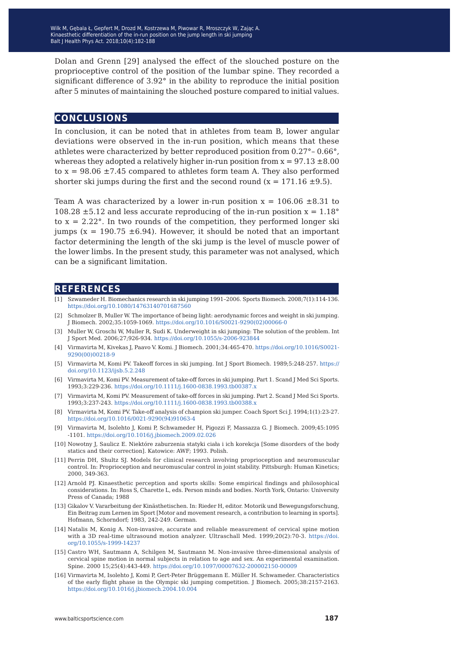Dolan and Grenn [29] analysed the effect of the slouched posture on the proprioceptive control of the position of the lumbar spine. They recorded a significant difference of 3.92° in the ability to reproduce the initial position after 5 minutes of maintaining the slouched posture compared to initial values.

#### **conclusions**

In conclusion, it can be noted that in athletes from team B, lower angular deviations were observed in the in-run position, which means that these athletes were characterized by better reproduced position from 0.27°– 0.66°, whereas they adopted a relatively higher in-run position from  $x = 97.13 \pm 8.00$ to  $x = 98.06 \pm 7.45$  compared to athletes form team A. They also performed shorter ski jumps during the first and the second round ( $x = 171.16 \pm 9.5$ ).

Team A was characterized by a lower in-run position  $x = 106.06 \pm 8.31$  to 108.28  $\pm$ 5.12 and less accurate reproducing of the in-run position  $x = 1.18$ ° to  $x = 2.22$ °. In two rounds of the competition, they performed longer ski jumps ( $x = 190.75 \pm 6.94$ ). However, it should be noted that an important factor determining the length of the ski jump is the level of muscle power of the lower limbs. In the present study, this parameter was not analysed, which can be a significant limitation.

### **references**

- [1] Szwameder H. Biomechanics research in ski jumping 1991–2006. Sports Biomech. 2008;7(1):114-136. <https://doi.org/10.1080/14763140701687560>
- [2] Schmolzer B, Muller W. The importance of being light: aerodynamic forces and weight in ski jumping. J Biomech. 2002;35:1059-1069. [https://doi.org/10.1016/S0021-9290\(02\)00066-0](https://doi.org/10.1016/S0021-9290(02)00066-0)
- [3] Muller W, Groschi W, Muller R, Sudi K. Underweight in ski jumping: The solution of the problem. Int J Sport Med. 2006;27;926-934. <https://doi.org/10.1055/s-2006-923844>
- [4] Virmavirta M, Kivekas J, Paavo V. Komi. J Biomech. 2001;34:465-470. [https://doi.org/10.1016/S0021-](https://doi.org/10.1016/S0021-9290(00)00218-9) [9290\(00\)00218-9](https://doi.org/10.1016/S0021-9290(00)00218-9)
- [5] Virmavirta M, Komi PV. Takeoff forces in ski jumping. Int J Sport Biomech. 1989;5:248-257. [https://](https://doi.org/10.1123/ijsb.5.2.248) [doi.org/10.1123/ijsb.5.2.248](https://doi.org/10.1123/ijsb.5.2.248)
- [6] Virmavirta M, Komi PV. Measurement of take-off forces in ski jumping. Part 1. Scand J Med Sci Sports. 1993;3:229-236.<https://doi.org/10.1111/j.1600-0838.1993.tb00387.x>
- [7] Virmavirta M, Komi PV. Measurement of take-off forces in ski jumping. Part 2. Scand J Med Sci Sports. 1993;3:237-243[. https://doi.org/10.1111/j.1600-0838.1993.tb00388.x](https://doi.org/10.1111/j.1600-0838.1993.tb00388.x)
- [8] Virmavirta M, Komi PV. Take-off analysis of champion ski jumper. Coach Sport Sci J. 1994;1(1):23-27. [https://doi.org/10.1016/0021-9290\(94\)91063-4](https://doi.org/10.1016/0021-9290(94)91063-4)
- [9] Virmavirta M, Isolehto J, Komi P, Schwameder H, Pigozzi F, Massazza G. J Biomech. 2009;45:1095 -1101. <https://doi.org/10.1016/j.jbiomech.2009.02.026>
- [10] Nowotny J, Saulicz E. Niektóre zaburzenia statyki ciała i ich korekcja [Some disorders of the body statics and their correction]. Katowice: AWF; 1993. Polish.
- [11] Perrin DH, Shultz SJ. Models for clinical research involving proprioception and neuromuscular control. In: Proprioception and neuromuscular control in joint stability. Pittsburgh: Human Kinetics; 2000, 349-363.
- [12] Arnold PJ. Kinaesthetic perception and sports skills: Some empirical findings and philosophical considerations. In: Ross S, Charette L, eds. Person minds and bodies. North York, Ontario: University Press of Canada; 1988
- [13] Gikalov V. Vararbeitung der Kinästhetischen. In: Rieder H, editor. Motorik und Bewegungsforschung, Ein Beitrag zum Lernen im Sport [Motor and movement research, a contribution to learning in sports]. Hofmann, Schorndorf; 1983, 242-249. German.
- [14] Natalis M, Konig A. Non-invasive, accurate and reliable measurement of cervical spine motion with a 3D real-time ultrasound motion analyzer. Ultraschall Med. 1999;20(2):70-3. [https://doi.](https://doi.org/10.1055/s-1999-14237) [org/10.1055/s-1999-14237](https://doi.org/10.1055/s-1999-14237)
- [15] Castro WH, Sautmann A, Schilgen M, Sautmann M. Non-invasive three-dimensional analysis of cervical spine motion in normal subjects in relation to age and sex. An experimental examination. Spine. 2000 15;25(4):443-449. <https://doi.org/10.1097/00007632-200002150-00009>
- [16] Virmavirta M, Isolehto J, Komi P, Gert-Peter Brüggemann E. Müller H. Schwameder. Characteristics of the early flight phase in the Olympic ski jumping competition. J Biomech. 2005;38:2157-2163. <https://doi.org/10.1016/j.jbiomech.2004.10.004>